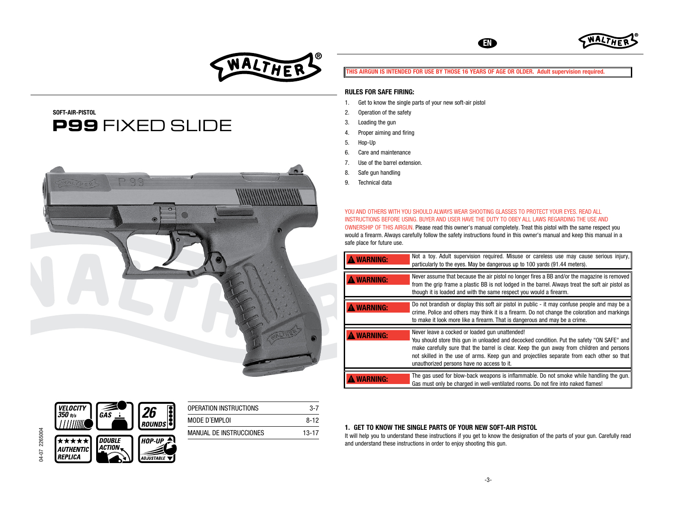

# SOFT-AIR-PISTOL  **P99** FIXED SLIDE



## THIS AIRGUN IS INTENDED FOR USE BY THOSE 16 YEARS OF AGE OR OLDER. Adult supervision required.

EN

**WA** 

## RULES FOR SAFE FIRING:

- 1. Get to know the single parts of your new soft-air pistol
- 2. Operation of the safety
- 3. Loading the gun
- 4. Proper aiming and firing
- 5. Hop-Up
- 6. Care and maintenance
- 7. Use of the barrel extension.
- 8. Safe gun handling
- 9. Technical data

YOU AND OTHERS WITH YOU SHOULD ALWAYS WEAR SHOOTING GLASSES TO PROTECT YOUR EYES. READ ALL INSTRUCTIONS BEFORE USING. BUYER AND USER HAVE THE DUTY TO OBEY ALL LAWS REGARDING THE USE AND OWNERSHIP OF THIS AIRGUN. Please read this owner's manual completely. Treat this pistol with the same respect you would a firearm. Always carefully follow the safety instructions found in this owner's manual and keep this manual in a safe place for future use.

| <b>WARNING:</b> | Not a toy. Adult supervision required. Misuse or careless use may cause serious injury,<br>particularly to the eyes. May be dangerous up to 100 yards (91.44 meters).                                                                                                                                                                                                                |
|-----------------|--------------------------------------------------------------------------------------------------------------------------------------------------------------------------------------------------------------------------------------------------------------------------------------------------------------------------------------------------------------------------------------|
| <b>WARNING:</b> | Never assume that because the air pistol no longer fires a BB and/or the magazine is removed<br>from the grip frame a plastic BB is not lodged in the barrel. Always treat the soft air pistol as<br>though it is loaded and with the same respect you would a firearm.                                                                                                              |
| <b>WARNING:</b> | Do not brandish or display this soft air pistol in public - it may confuse people and may be a<br>crime. Police and others may think it is a firearm. Do not change the coloration and markings<br>to make it look more like a firearm. That is dangerous and may be a crime.                                                                                                        |
| <b>WARNING:</b> | Never leave a cocked or loaded gun unattended!<br>You should store this gun in unloaded and decocked condition. Put the safety "ON SAFE" and<br>make carefully sure that the barrel is clear. Keep the gun away from children and persons<br>not skilled in the use of arms. Keep qun and projectiles separate from each other so that<br>unauthorized persons have no access to it. |
|                 | The gas used for blow-back weapons is inflammable. Do not smoke while handling the gun.<br>Gas must only be charged in well-ventilated rooms. Do not fire into naked flames!                                                                                                                                                                                                         |



## 1. GET TO KNOW THE SINGLE PARTS OF YOUR NEW SOFT-AIR PISTOL

It will help you to understand these instructions if you get to know the designation of the parts of your gun. Carefully read and understand these instructions in order to enjoy shooting this gun.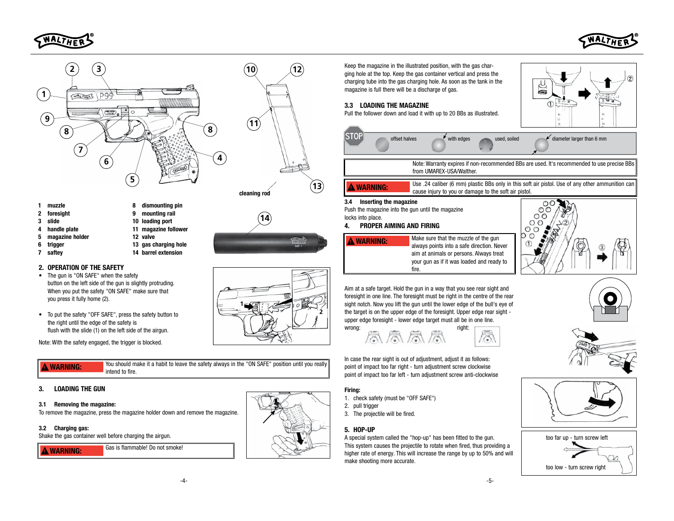



 $(2)$ 





**14**

- 1 muzzle
- 2 foresight
- 3 slide
- 4 handle plate
- magazine holder
- 5
- 6 trigger
- 7 saftey
- 9 mounting rail 10 loading port
- 11 magazine follower
- 12 valve
- 13 gas charging hole 14 barrel extension

8 dismounting pin

## 2. OPERATION OF THE SAFETY

- The gun is "ON SAFE" when the safety button on the left side of the gun is slightly protruding. When you put the safety "ON SAFE" make sure that you press it fully home (2).
- To put the safety "OFF SAFE", press the safety button to the right until the edge of the safety is flush with the slide (1) on the left side of the airgun.

Note: With the safety engaged, the trigger is blocked.

**A** WARNING: You should make it a habit to leave the safety always in the "ON SAFE" position until you really intend to fire.

**1**

## 3. LOADING THE GUN

## 3.1 Removing the magazine:

To remove the magazine, press the magazine holder down and remove the magazine.

## 3.2 Charging gas:

Shake the gas container well before charging the airgun.







Keep the magazine in the illustrated position, with the gas charging hole at the top. Keep the gas container vertical and press the charging tube into the gas charging hole. As soon as the tank in the magazine is full there will be a discharge of gas.

# 3.3 LOADING THE MAGAZINE

Pull the follower down and load it with up to 20 BBs as illustrated.



 $\sqrt{3}$ 

Aim at a safe target. Hold the gun in a way that you see rear sight and foresight in one line. The foresight must be right in the centre of the rear sight notch. Now you lift the gun until the lower edge of the bull's eye of the target is on the upper edge of the foresight. Upper edge rear sight upper edge foresight - lower edge target must all be in one line.

wrong: the contract of the contract of the contract of the contract of the contract of the contract of the contract of the contract of the contract of the contract of the contract of the contract of the contract of the con

In case the rear sight is out of adjustment, adjust it as follows: point of impact too far right - turn adjustment screw clockwise point of impact too far left - turn adjustment screw anti-clockwise

## Firing:

- 1. check safety (must be "OFF SAFE")
- 2. pull trigger
- 3. The projectile will be fired.

## 5. HOP-UP

A special system called the "hop-up" has been fitted to the gun. This system causes the projectile to rotate when fired, thus providing a higher rate of energy. This will increase the range by up to 50% and will make shooting more accurate.











**2**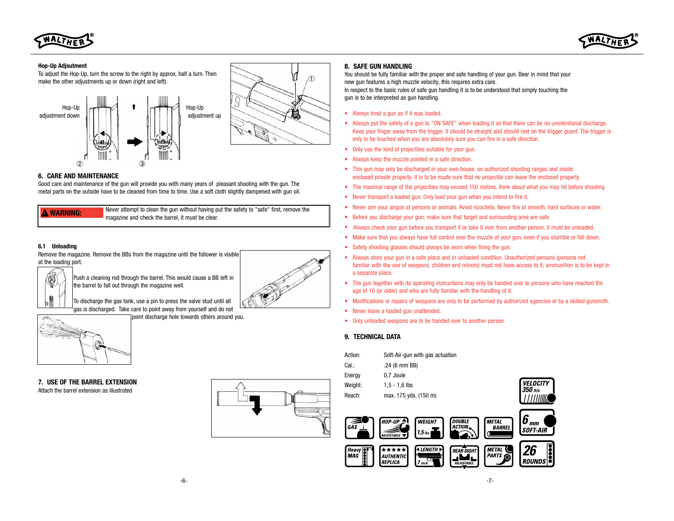

#### Hop-Up Adjsutment

To adjust the Hop-Up, turn the screw to the right by approx. half a turn. Then make the other adjustments up or down (right and left).





## 6. CARE AND MAINTENANCE

Good care and maintenance of the gun will provide you with many years of pleasant shooting with the gun. The metal parts on the outside have to be cleaned from time to time. Use a soft cloth slightly dampened with gun oil.

**A WARNING:** Never attempt to clean the gun without having put the safety to "safe" first, remove the magazine and check the barrel, it must be clear.

#### 6.1 Unloading

Remove the magazine. Remove the BBs from the magazine until the follower is visible at the loading port.



Push a cleaning rod through the barrel. This would cause a BB left in the barrel to fall out through the magazine well.

To discharge the gas tank, use a pin to press the valve stud until all gas is discharged. Take care to point away from yourself and do not

point discharge hole towards others around you.



7. USE OF THE BARREL EXTENSION Attach the barrel extension as illustrated



#### 8. SAFE GUN HANDLING

You should be fully familiar with the proper and safe handling of your gun. Bear in mind that your new gun features a high muzzle velocity, this requires extra care. In respect to the basic rules of safe gun handling it is to be understood that simply touching the gun is to be interpreted as gun handling.

- Always treat a gun as if it was loaded.
- Always put the safety of a gun to "ON SAFE" when loading it so that there can be no unintentional discharge. Keep your finger away from the trigger, it should be straight and should rest on the trigger guard. The trigger is only to be touched when you are absolutely sure you can fire in a safe direction.
- Only use the kind of projectiles suitable for your gun.
- Always keep the muzzle pointed in a safe direction.
- This gun may only be discharged in your own house, on authorized shooting ranges and inside enclosed private property. It is to be made sure that no projectile can leave the enclosed property.
- The maximal range of the projectiles may exceed 150 metres, think about what you may hit before shooting.
- Never transport a loaded gun. Only load your gun when you intend to fire it.
- Never aim your airgun at persons or animals. Avoid ricochets. Never fire at smooth, hard surfaces or water.
- Before you discharge your gun, make sure that target and surrounding area are safe.
- Always check your gun before you transport it or take it over from another person, it must be unloaded.
- Make sure that you always have full control over the muzzle of your gun, even if you stumble or fall down.
- Safety shooting glasses should always be worn when firing the gun.
- Always store your gun in a safe place and in unloaded condition. Unauthorized persons (persons not familiar with the use of weapons, children and minors) must not have access to it, ammunition is to be kept in a separate place.
- The gun together with its operating instructions may only be handed over to persons who have reached the age of 16 (or older) and who are fully familiar with the handling of it.
- Modifications or repairs of weapons are only to be performed by authorized agencies or by a skilled gunsmith.
- Never leave a loaded gun unattended.
- Only unloaded weapons are to be handed over to another person.

#### 9. TECHNICAL DATA

| Action:                    |                                                    | Soft-Air-gun with gas actuation |                                        |                                    |                     |                 |  |
|----------------------------|----------------------------------------------------|---------------------------------|----------------------------------------|------------------------------------|---------------------|-----------------|--|
| Cal.:                      |                                                    | $.24(6 \text{ mm } BB)$         |                                        |                                    |                     |                 |  |
| Energy                     | 0,7 Joule                                          |                                 |                                        |                                    |                     |                 |  |
| Weight:                    |                                                    | $1, 5 - 1, 6$ lbs               |                                        |                                    |                     | <b>VELOCITY</b> |  |
| Reach:                     |                                                    | max. 175 yds. (150 m)           |                                        |                                    |                     |                 |  |
|                            |                                                    |                                 |                                        |                                    |                     |                 |  |
| GÃS                        | <b>HOP-UP</b><br><b>ADJUSTABLE</b>                 | <b>WEIGHT</b><br>$1,5$ lbs      | <b>DOUBLE</b><br>ACTION.               | <b>METAL</b><br><b>BARREL</b>      | 6<br>mm<br>SOFT-AIR |                 |  |
| <b>Heavy</b><br><b>MAG</b> | *****<br><i><b>AUTHENTIC</b></i><br><b>REPLICA</b> | <b>ALENGTH</b><br>.,<br>7 inch  | <b>REAR SIGHT</b><br><b>ADJUSTABLE</b> | <b>METAL</b><br>PARTS <sup>®</sup> | 2b<br><b>ROUNDS</b> |                 |  |